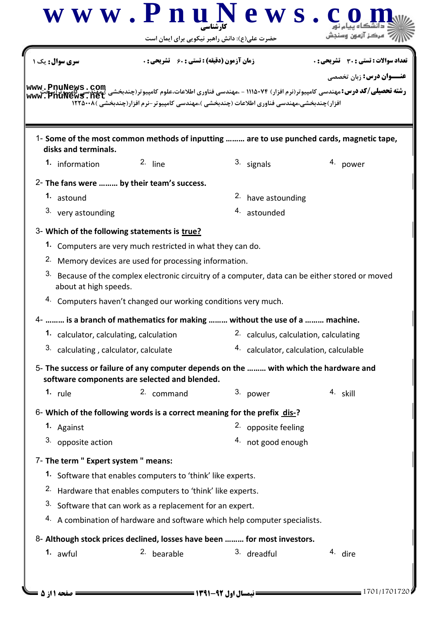| $\bf w \mathbf w \mathbf w \mathbf P \mathbf n \mathbf u \mathbf N \mathbf e \mathbf w \mathbf s$ . | حضرت علی(ع): دانش راهبر نیکویی برای ایمان است                                                    |  |                                        |                                                                                                                                                                             |  |
|-----------------------------------------------------------------------------------------------------|--------------------------------------------------------------------------------------------------|--|----------------------------------------|-----------------------------------------------------------------------------------------------------------------------------------------------------------------------------|--|
| <b>سری سوال:</b> یک ۱                                                                               | <b>زمان آزمون (دقیقه) : تستی : 60 گشریحی : 0</b>                                                 |  |                                        | تعداد سوالات : تستي : 30 ٪ تشريحي : 0<br><b>عنـــوان درس:</b> زبان تخصصي                                                                                                    |  |
|                                                                                                     | افزار)چندبخشی،مهندسی فناوری اطلاعات (چندبخشی )،مهندسی کامپیوتر-نرم افزار(چندبخشی )۱۲۲۵۰۰۸        |  |                                        | <b>www_. PnuNews . Com</b><br>ر <b>شته تحصیلی/کد درس:</b> مهندسی کامپیوتر(نرم افزار) ۷۴-۱۱۱۵ - ،مهندسی فناوری اطلاعات،علوم کامپیوتر(چندبخشی )Suption<br>www . PnuNews . net |  |
| disks and terminals.                                                                                |                                                                                                  |  |                                        | 1- Some of the most common methods of inputting  are to use punched cards, magnetic tape,                                                                                   |  |
| 1. information                                                                                      | $2.$ line                                                                                        |  | 3. signals                             | 4. power                                                                                                                                                                    |  |
| 2- The fans were  by their team's success.                                                          |                                                                                                  |  |                                        |                                                                                                                                                                             |  |
| 1. astound                                                                                          |                                                                                                  |  | 2. have astounding                     |                                                                                                                                                                             |  |
| 3. very astounding                                                                                  |                                                                                                  |  | 4. astounded                           |                                                                                                                                                                             |  |
| 3- Which of the following statements is true?                                                       |                                                                                                  |  |                                        |                                                                                                                                                                             |  |
|                                                                                                     | 1. Computers are very much restricted in what they can do.                                       |  |                                        |                                                                                                                                                                             |  |
|                                                                                                     | <sup>2.</sup> Memory devices are used for processing information.                                |  |                                        |                                                                                                                                                                             |  |
| about at high speeds.                                                                               | 3. Because of the complex electronic circuitry of a computer, data can be either stored or moved |  |                                        |                                                                                                                                                                             |  |
| 4. Computers haven't changed our working conditions very much.                                      |                                                                                                  |  |                                        |                                                                                                                                                                             |  |
| 4-  is a branch of mathematics for making  without the use of a  machine.                           |                                                                                                  |  |                                        |                                                                                                                                                                             |  |
| 1. calculator, calculating, calculation                                                             |                                                                                                  |  |                                        | 2. calculus, calculation, calculating                                                                                                                                       |  |
| 3. calculating, calculator, calculate                                                               |                                                                                                  |  | 4. calculator, calculation, calculable |                                                                                                                                                                             |  |
| software components are selected and blended.                                                       |                                                                                                  |  |                                        | 5- The success or failure of any computer depends on the  with which the hardware and                                                                                       |  |
| 1. $rule$                                                                                           | 2. command                                                                                       |  | 3. power                               | 4. skill                                                                                                                                                                    |  |
| 6- Which of the following words is a correct meaning for the prefix dis-?                           |                                                                                                  |  |                                        |                                                                                                                                                                             |  |
| 1. Against                                                                                          |                                                                                                  |  | 2. opposite feeling                    |                                                                                                                                                                             |  |
| 3. opposite action                                                                                  |                                                                                                  |  | 4. not good enough                     |                                                                                                                                                                             |  |
| 7- The term " Expert system " means:                                                                |                                                                                                  |  |                                        |                                                                                                                                                                             |  |
|                                                                                                     | 1. Software that enables computers to 'think' like experts.                                      |  |                                        |                                                                                                                                                                             |  |
|                                                                                                     | <sup>2.</sup> Hardware that enables computers to 'think' like experts.                           |  |                                        |                                                                                                                                                                             |  |
|                                                                                                     | 3. Software that can work as a replacement for an expert.                                        |  |                                        |                                                                                                                                                                             |  |
| 4. A combination of hardware and software which help computer specialists.                          |                                                                                                  |  |                                        |                                                                                                                                                                             |  |
|                                                                                                     | 8- Although stock prices declined, losses have been  for most investors.                         |  |                                        |                                                                                                                                                                             |  |
|                                                                                                     |                                                                                                  |  |                                        |                                                                                                                                                                             |  |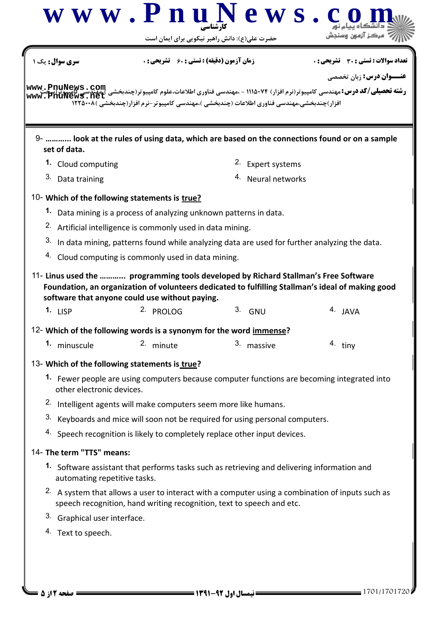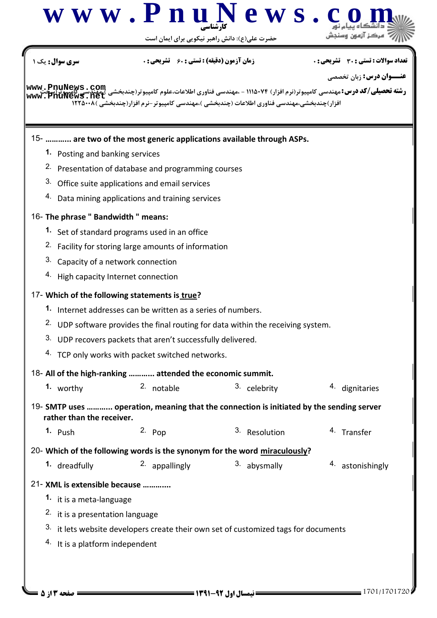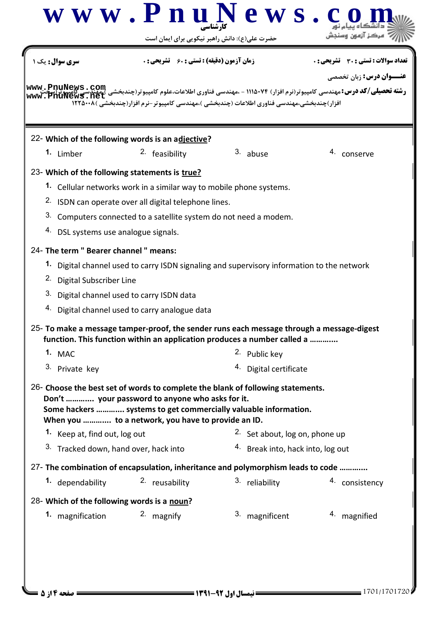